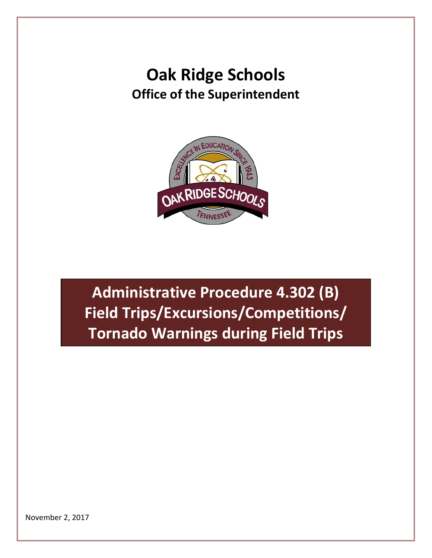## **Oak Ridge Schools Office of the Superintendent**



**Administrative Procedure 4.302 (B) Field Trips/Excursions/Competitions/ Tornado Warnings during Field Trips**

November 2, 2017